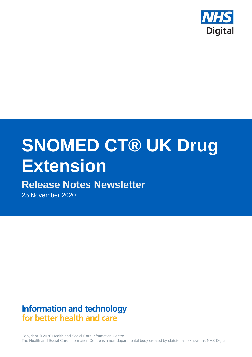

# **SNOMED CT® UK Drug Extension**

# **Release Notes Newsletter**

25 November 2020

# **Information and technology** for better health and care

Copyright © 2020 Health and Social Care Information Centre. The Health and Social Care Information Centre is a non-departmental body created by statute, also known as NHS Digital.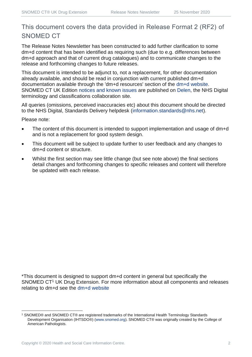## This document covers the data provided in Release Format 2 (RF2) of SNOMED CT

The Release Notes Newsletter has been constructed to add further clarification to some dm+d content that has been identified as requiring such (due to e.g. differences between dm+d approach and that of current drug catalogues) and to communicate changes to the release and forthcoming changes to future releases.

This document is intended to be adjunct to, not a replacement, for other documentation already available, and should be read in conjunction with current published dm+d documentation available through the 'dm+d resources' section of the [dm+d website.](https://www.nhsbsa.nhs.uk/pharmacies-gp-practices-and-appliance-contractors/dictionary-medicines-and-devices-dmd) SNOMED CT UK Edition [notices and known issues](https://hscic.kahootz.com/connect.ti/t_c_home/view?objectId=14224752) are published on [Delen,](https://hscic.kahootz.com/connect.ti/t_c_home) the NHS Digital terminology and classifications collaboration site.

All queries (omissions, perceived inaccuracies etc) about this document should be directed to the NHS Digital, Standards Delivery helpdesk [\(information.standards@nhs.net\)](mailto:information.standards@nhs.net).

Please note:

- The content of this document is intended to support implementation and usage of dm+d and is not a replacement for good system design.
- This document will be subject to update further to user feedback and any changes to dm+d content or structure.
- Whilst the first section may see little change (but see note above) the final sections detail changes and forthcoming changes to specific releases and content will therefore be updated with each release.

\*This document is designed to support dm+d content in general but specifically the SNOMED CT<sup>1</sup> UK Drug Extension. For more information about all components and releases relating to dm+d see the [dm+d website](https://www.nhsbsa.nhs.uk/pharmacies-gp-practices-and-appliance-contractors/dictionary-medicines-and-devices-dmd)

<sup>1</sup> SNOMED® and SNOMED CT® are registered trademarks of the International Health Terminology Standards Development Organisation (IHTSDO®) [\(www.snomed.org\)](http://www.snomed.org/). SNOMED CT® was originally created by the College of American Pathologists.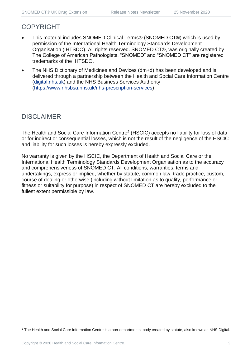## COPYRIGHT

- This material includes SNOMED Clinical Terms® (SNOMED CT®) which is used by permission of the International Health Terminology Standards Development Organisation (IHTSDO). All rights reserved. SNOMED CT®, was originally created by The College of American Pathologists. "SNOMED" and "SNOMED CT" are registered trademarks of the IHTSDO.
- The NHS Dictionary of Medicines and Devices (dm+d) has been developed and is delivered through a partnership between the Health and Social Care Information Centre [\(digital.nhs.uk\)](https://digital.nhs.uk/) and the NHS Business Services Authority [\(https://www.nhsbsa.nhs.uk/nhs-prescription-services\)](https://www.nhsbsa.nhs.uk/nhs-prescription-services)

## DISCLAIMER

The Health and Social Care Information Centre<sup>2</sup> (HSCIC) accepts no liability for loss of data or for indirect or consequential losses, which is not the result of the negligence of the HSCIC and liability for such losses is hereby expressly excluded.

No warranty is given by the HSCIC, the Department of Health and Social Care or the International Health Terminology Standards Development Organisation as to the accuracy and comprehensiveness of SNOMED CT. All conditions, warranties, terms and undertakings, express or implied, whether by statute, common law, trade practice, custom, course of dealing or otherwise (including without limitation as to quality, performance or fitness or suitability for purpose) in respect of SNOMED CT are hereby excluded to the fullest extent permissible by law.

<sup>&</sup>lt;sup>2</sup> The Health and Social Care Information Centre is a non-departmental body created by statute, also known as NHS Digital.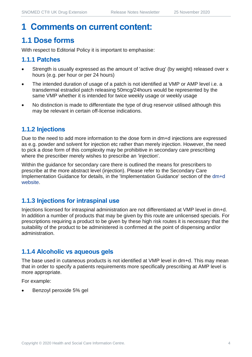## **1 Comments on current content:**

## **1.1 Dose forms**

With respect to Editorial Policy it is important to emphasise:

## **1.1.1 Patches**

- Strength is usually expressed as the amount of 'active drug' (by weight) released over x hours (e.g. per hour or per 24 hours)
- The intended duration of usage of a patch is not identified at VMP or AMP level i.e. a transdermal estradiol patch releasing 50mcg/24hours would be represented by the same VMP whether it is intended for twice weekly usage or weekly usage
- No distinction is made to differentiate the type of drug reservoir utilised although this may be relevant in certain off-license indications.

## **1.1.2 Injections**

Due to the need to add more information to the dose form in dm+d injections are expressed as e.g. powder and solvent for injection etc rather than merely injection. However, the need to pick a dose form of this complexity may be prohibitive in secondary care prescribing where the prescriber merely wishes to prescribe an 'injection'.

Within the guidance for secondary care there is outlined the means for prescribers to prescribe at the more abstract level (injection). Please refer to the Secondary Care Implementation Guidance for details, in the 'Implementation Guidance' section of the [dm+d](https://www.nhsbsa.nhs.uk/pharmacies-gp-practices-and-appliance-contractors/dictionary-medicines-and-devices-dmd)  [website.](https://www.nhsbsa.nhs.uk/pharmacies-gp-practices-and-appliance-contractors/dictionary-medicines-and-devices-dmd)

## **1.1.3 Injections for intraspinal use**

Injections licensed for intraspinal administration are not differentiated at VMP level in dm+d. In addition a number of products that may be given by this route are unlicensed specials. For prescriptions requiring a product to be given by these high risk routes it is necessary that the suitability of the product to be administered is confirmed at the point of dispensing and/or administration.

## **1.1.4 Alcoholic vs aqueous gels**

The base used in cutaneous products is not identified at VMP level in dm+d. This may mean that in order to specify a patients requirements more specifically prescribing at AMP level is more appropriate.

For example:

• Benzoyl peroxide 5% gel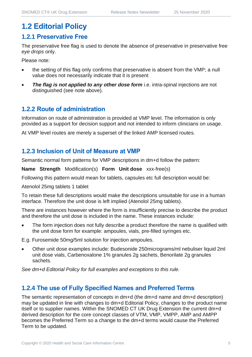## **1.2 Editorial Policy**

#### **1.2.1 Preservative Free**

The preservative free flag is used to denote the absence of preservative in preservative free *eye drops* only.

Please note:

- the setting of this flag only confirms that preservative is absent from the VMP; a null value does not necessarily indicate that it is present
- **The flag is not applied to any other dose form** i.e. intra-spinal injections are not distinguished (see note above).

## **1.2.2 Route of administration**

Information on route of administration is provided at VMP level. The information is only provided as a support for decision support and not intended to inform clinicians on usage.

At VMP level routes are merely a superset of the linked AMP licensed routes.

## **1.2.3 Inclusion of Unit of Measure at VMP**

Semantic normal form patterns for VMP descriptions in dm+d follow the pattern:

**Name Strength** Modification(s) **Form Unit dose** xxx-free(s)

Following this pattern would mean for tablets, capsules etc full description would be:

Atenolol 25mg tablets 1 tablet

To retain these full descriptions would make the descriptions unsuitable for use in a human interface. Therefore the unit dose is left implied (Atenolol 25mg tablets).

There are instances however where the form is insufficiently precise to describe the product and therefore the unit dose is included in the name. These instances include:

The form injection does not fully describe a product therefore the name is qualified with the unit dose form for example: ampoules, vials, pre-filled syringes etc.

E.g. Furosemide 50mg/5ml solution for injection ampoules.

• Other unit dose examples include: Budesonide 250micrograms/ml nebuliser liquid 2ml unit dose vials, Carbenoxalone 1% granules 2g sachets, Benorilate 2g granules sachets.

*See dm+d Editorial Policy for full examples and exceptions to this rule.*

## **1.2.4 The use of Fully Specified Names and Preferred Terms**

The semantic representation of concepts in dm+d (the dm+d name and dm+d description) may be updated in line with changes to dm+d Editorial Policy, changes to the product name itself or to supplier names. Within the SNOMED CT UK Drug Extension the current dm+d derived description for the core concept classes of VTM, VMP, VMPP, AMP and AMPP becomes the Preferred Term so a change to the dm+d terms would cause the Preferred Term to be updated.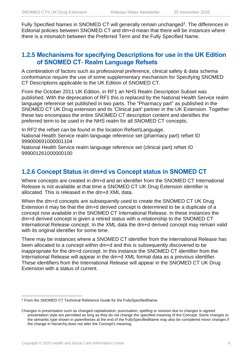Fully Specified Names in SNOMED CT will generally remain unchanged<sup>3</sup>. The differences in Editorial policies between SNOMED CT and dm+d mean that there will be instances where there is a mismatch between the Preferred Term and the Fully Specified Name.

## **1.2.5 Mechanisms for specifying Descriptions for use in the UK Edition of SNOMED CT- Realm Language Refsets**

A combination of factors such as professional preference, clinical safety & data schema conformance require the use of some supplementary mechanism for Specifying SNOMED CT Descriptions applicable to the UK Edition of SNOMED CT.

From the October 2011 UK Edition, in RF1 an NHS Realm Description Subset was published. With the deprecation of RF1 this is replaced by the National Health Service realm language reference set published in two parts. The "Pharmacy part" as published in the SNOMED CT UK Drug extension and its 'Clinical part' partner in the UK Extension. Together these two encompass the entire SNOMED CT description content and identifies the preferred term to be used in the NHS realm for all SNOMED CT concepts.

In RF2 the refset can be found in the location Refset\Language. National Health Service realm language reference set (pharmacy part) refset ID 999000691000001104

National Health Service realm language reference set (clinical part) refset ID 999001261000000100

## **1.2.6 Concept Status in dm+d vs Concept status in SNOMED CT**

Where concepts are created in dm+d and an identifier from the SNOMED CT International Release is not available at that time a SNOMED CT UK Drug Extension identifier is allocated. This is released in the dm+d XML data.

When the dm+d concepts are subsequently used to create the SNOMED CT UK Drug Extension it may be that the dm+d derived concept is determined to be a duplicate of a concept now available in the SNOMED CT International Release. In these instances the dm+d derived concept is given a retired status with a relationship to the SNOMED CT International Release concept. In the XML data the dm+d derived concept may remain valid with its original identifier for some time.

There may be instances where a SNOMED CT identifier from the International Release has been allocated to a concept within dm+d and this is subsequently discovered to be inappropriate for the dm+d concept. In this instance the SNOMED CT identifier from the International Release will appear in the dm+d XML format data as a previous identifier. These identifiers from the International Release will appear in the SNOMED CT UK Drug Extension with a status of current.

<sup>3</sup> From the SNOMED CT Technical Reference Guide for the FullySpecifiedName:

Changes in presentation such as changed capitalization, punctuation, spelling or revision due to changes in agreed presentation style are permitted as long as they do not change the specified meaning of the Concept. Some changes to the semantic type shown in parentheses at the end of the FullySpecifiedName may also be considered minor changes if the change in hierarchy does not alter the Concept's meaning.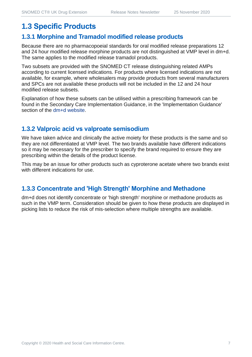## **1.3 Specific Products**

#### **1.3.1 Morphine and Tramadol modified release products**

Because there are no pharmacopoeial standards for oral modified release preparations 12 and 24 hour modified release morphine products are not distinguished at VMP level in dm+d. The same applies to the modified release tramadol products.

Two subsets are provided with the SNOMED CT release distinguishing related AMPs according to current licensed indications. For products where licensed indications are not available, for example, where wholesalers may provide products from several manufacturers and SPCs are not available these products will not be included in the 12 and 24 hour modified release subsets.

Explanation of how these subsets can be utilised within a prescribing framework can be found in the Secondary Care Implementation Guidance, in the 'Implementation Guidance' section of the [dm+d website.](https://www.nhsbsa.nhs.uk/pharmacies-gp-practices-and-appliance-contractors/dictionary-medicines-and-devices-dmd)

## **1.3.2 Valproic acid vs valproate semisodium**

We have taken advice and clinically the active moiety for these products is the same and so they are not differentiated at VMP level. The two brands available have different indications so it may be necessary for the prescriber to specify the brand required to ensure they are prescribing within the details of the product license.

This may be an issue for other products such as cyproterone acetate where two brands exist with different indications for use.

## **1.3.3 Concentrate and 'High Strength' Morphine and Methadone**

dm+d does not identify concentrate or 'high strength' morphine or methadone products as such in the VMP term. Consideration should be given to how these products are displayed in picking lists to reduce the risk of mis-selection where multiple strengths are available.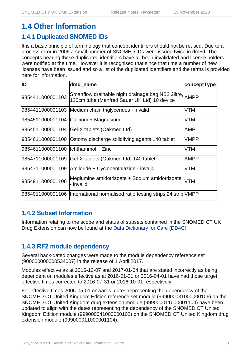## **1.4 Other Information**

## **1.4.1 Duplicated SNOMED IDs**

It is a basic principle of terminology that concept identifiers should not be reused. Due to a process error in 2006 a small number of SNOMED IDs were issued twice in dm+d. The concepts bearing these duplicated identifiers have all been invalidated and license holders were notified at the time. However it is recognised that since that time a number of new licenses have been issued and so a list of the duplicated identifiers and the terms is provided here for information.

| ID                                   | dmd_name                                                                                               | conceptType |
|--------------------------------------|--------------------------------------------------------------------------------------------------------|-------------|
| 9854411000001103                     | Smartflow drainable night drainage bag NB2 2litre, AMPP<br>120cm tube (Manfred Sauer UK Ltd) 10 device |             |
|                                      | 9854411000001103 Medium chain triglycerides - invalid                                                  | VTM         |
|                                      | 9854511000001104 Calcium + Magnesium                                                                   | VTM         |
|                                      | 9854511000001104 Gel-X tablets (Oakmed Ltd)                                                            | AMP         |
|                                      | 9854611000001100 Ostomy discharge solidifying agents 140 tablet                                        | <b>VMPP</b> |
| 9854611000001100   Ichthammol + Zinc |                                                                                                        | VTM         |
|                                      | 9854711000001109 Gel-X tablets (Oakmed Ltd) 140 tablet                                                 | AMPP        |
|                                      | 9854711000001109 Amiloride + Cyclopenthiazide - invalid                                                | VTM         |
| 9854911000001106                     | Meglumine amidotrizoate + Sodium amidotrizoate<br>- invalid                                            | <b>VTM</b>  |
|                                      | 9854911000001106  International normalised ratio testing strips 24 strip VMPP                          |             |

## **1.4.2 Subset Information**

Information relating to the scope and status of subsets contained in the SNOMED CT UK Drug Extension can now be found at the [Data Dictionary for Care \(DD4C\).](https://dd4c.digital.nhs.uk/dd4c/)

## **1.4.3 RF2 module dependency**

Several back-dated changes were made to the module dependency reference set (900000000000534007) in the release of 1 April 2017.

Modules effective as at 2016-12-07 and 2017-01-04 that are stated incorrectly as being dependent on modules effective as at 2016-01-31 or 2016-04-01 have had those target effective times corrected to 2016-07-31 or 2016-10-01 respectively.

For effective times 2006-05-01 onwards, dates representing the dependency of the SNOMED CT United Kingdom Edition reference set module (999000031000000106) on the SNOMED CT United Kingdom drug extension module (999000011000001104) have been updated to align with the dates representing the dependency of the SNOMED CT United Kingdom Edition module (999000041000000102) on the SNOMED CT United Kingdom drug extension module (999000011000001104).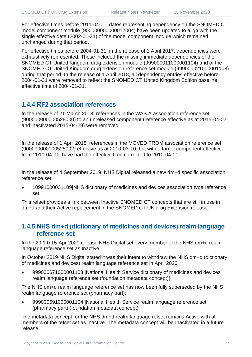For effective times before 2011-04-01, dates representing dependency on the SNOMED CT model component module (900000000000012004) have been updated to align with the single effective date (2002-01-31) of the model component module which remained unchanged during that period.

For effective times before 2004-01-31, in the release of 1 April 2017, dependencies were exhaustively represented. These included the missing immediate dependencies of the SNOMED CT United Kingdom drug extension module (999000011000001104) and of the SNOMED CT United Kingdom drug extension reference set module (999000021000001108) during that period. In the release of 1 April 2018, all dependency entries effective before 2004-01-31 were removed to reflect the SNOMED CT United Kingdom Edition baseline effective time of 2004-01-31.

## **1.4.4 RF2 association references**

In the release of 21 March 2018, references in the WAS A association reference set (900000000000528000) to an unreleased component (reference effective as at 2015-04-02 and inactivated 2015-04-29) were removed.

In the release of 1 April 2018, references in the MOVED FROM association reference set (900000000000525002) effective as at 2010-03-10, but with a target component effective from 2010-04-01, have had the effective time corrected to 2010-04-01.

In the release of 4 September 2019, NHS Digital released a new dm+d specific association reference set:

• 10991000001109|NHS dictionary of medicines and devices association type reference set|

This refset provides a link between Inactive SNOMED CT concepts that are still in use in dm+d and their Active replacement in the SNOMED CT UK drug Extension release.

## **1.4.5 NHS dm+d (dictionary of medicines and devices) realm language reference set**

In the 29.1.0 15-Apr-2020 release NHS Digital set every member of the NHS dm+d realm language reference set as Inactive.

In October 2019 NHS Digital stated it was their intent to withdraw the NHS dm+d (dictionary of medicines and devices) realm language reference set in April 2020:

• 999000671000001103 |National Health Service dictionary of medicines and devices realm language reference set (foundation metadata concept)|

The NHS dm+d realm language reference set has now been fully superseded by the NHS realm language reference set (pharmacy part):

• 999000691000001104 |National Health Service realm language reference set (pharmacy part) (foundation metadata concept)|

The metadata concept for the NHS dm+d realm language refset remains Active with all members of the refset set as Inactive. The metadata concept will be Inactivated in a future release.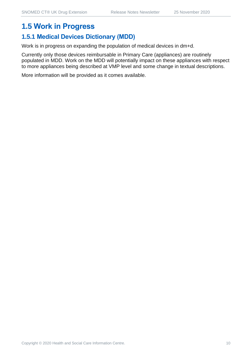## **1.5 Work in Progress**

## **1.5.1 Medical Devices Dictionary (MDD)**

Work is in progress on expanding the population of medical devices in dm+d.

Currently only those devices reimbursable in Primary Care (appliances) are routinely populated in MDD. Work on the MDD will potentially impact on these appliances with respect to more appliances being described at VMP level and some change in textual descriptions.

More information will be provided as it comes available.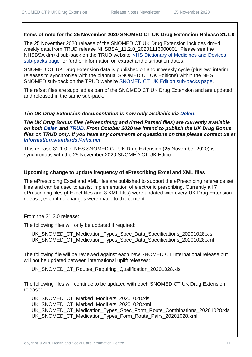#### **Items of note for the 25 November 2020 SNOMED CT UK Drug Extension Release 31.1.0**

The 25 November 2020 release of the SNOMED CT UK Drug Extension includes dm+d weekly data from TRUD release NHSBSA\_11.2.0\_20201116000001. Please see the NHSBSA dm+d sub-pack on the TRUD website [NHS Dictionary of Medicines and Devices](https://isd.digital.nhs.uk/trud3/user/guest/group/0/pack/6)  [sub-packs page](https://isd.digital.nhs.uk/trud3/user/guest/group/0/pack/6) for further information on extract and distribution dates.

SNOMED CT UK Drug Extension data is published on a four weekly cycle (plus two interim releases to synchronise with the biannual SNOMED CT UK Editions) within the NHS SNOMED sub-pack on the TRUD website [SNOMED CT UK Edition sub-packs page.](https://isd.digital.nhs.uk/trud3/user/guest/group/0/pack/26)

The refset files are supplied as part of the SNOMED CT UK Drug Extension and are updated and released in the same sub-pack.

#### *The UK Drug Extension documentation is now only available via [Delen](https://hscic.kahootz.com/connect.ti/t_c_home/view?objectId=14540272).*

*The UK Drug Bonus files (ePrescribing and dm+d Parsed files) are currently available on both [Delen](https://hscic.kahootz.com/connect.ti/t_c_home/view?objectId=14540272) and [TRUD.](https://isd.digital.nhs.uk/trud3/user/guest/group/0/pack/8/subpack/639/releases) From October 2020 we intend to publish the UK Drug Bonus files on TRUD only. If you have any comments or questions on this please contact us at [information.standards@nhs.net](mailto:information.standards@nhs.net)*

This release 31.1.0 of NHS SNOMED CT UK Drug Extension (25 November 2020) is synchronous with the 25 November 2020 SNOMED CT UK Edition.

#### **Upcoming change to update frequency of ePrescribing Excel and XML files**

The ePrescribing Excel and XML files are published to support the ePrescribing reference set files and can be used to assist implementation of electronic prescribing. Currently all 7 ePrescribing files (4 Excel files and 3 XML files) were updated with every UK Drug Extension release, even if no changes were made to the content.

From the 31.2.0 release:

The following files will only be updated if required:

UK\_SNOMED\_CT\_Medication\_Types\_Spec\_Data\_Specifications\_20201028.xls UK\_SNOMED\_CT\_Medication\_Types\_Spec\_Data\_Specifications\_20201028.xml

The following file will be reviewed against each new SNOMED CT International release but will not be updated between international uplift releases:

UK\_SNOMED\_CT\_Routes\_Requiring\_Qualification\_20201028.xls

The following files will continue to be updated with each SNOMED CT UK Drug Extension release:

UK\_SNOMED\_CT\_Marked\_Modifiers\_20201028.xls UK\_SNOMED\_CT\_Marked\_Modifiers\_20201028.xml UK\_SNOMED\_CT\_Medication\_Types\_Spec\_Form\_Route\_Combinations\_20201028.xls UK\_SNOMED\_CT\_Medication\_Types\_Form\_Route\_Pairs\_20201028.xml